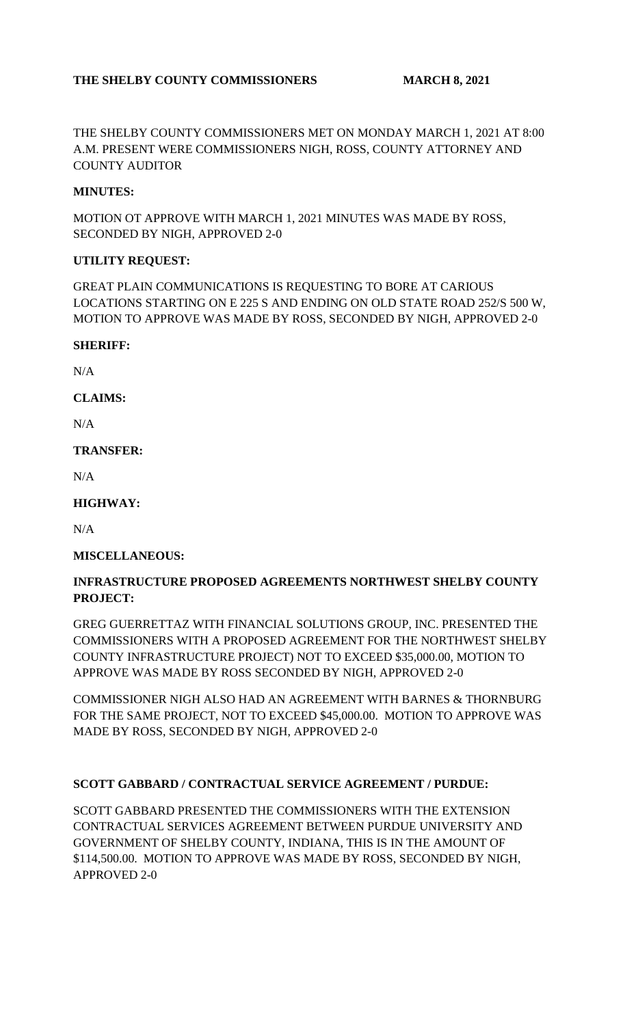# THE SHELBY COUNTY COMMISSIONERS MARCH 8, 2021

THE SHELBY COUNTY COMMISSIONERS MET ON MONDAY MARCH 1, 2021 AT 8:00 A.M. PRESENT WERE COMMISSIONERS NIGH, ROSS, COUNTY ATTORNEY AND COUNTY AUDITOR

### **MINUTES:**

MOTION OT APPROVE WITH MARCH 1, 2021 MINUTES WAS MADE BY ROSS, SECONDED BY NIGH, APPROVED 2-0

#### **UTILITY REQUEST:**

GREAT PLAIN COMMUNICATIONS IS REQUESTING TO BORE AT CARIOUS LOCATIONS STARTING ON E 225 S AND ENDING ON OLD STATE ROAD 252/S 500 W, MOTION TO APPROVE WAS MADE BY ROSS, SECONDED BY NIGH, APPROVED 2-0

#### **SHERIFF:**

N/A

**CLAIMS:**

N/A

#### **TRANSFER:**

N/A

## **HIGHWAY:**

N/A

## **MISCELLANEOUS:**

## **INFRASTRUCTURE PROPOSED AGREEMENTS NORTHWEST SHELBY COUNTY PROJECT:**

GREG GUERRETTAZ WITH FINANCIAL SOLUTIONS GROUP, INC. PRESENTED THE COMMISSIONERS WITH A PROPOSED AGREEMENT FOR THE NORTHWEST SHELBY COUNTY INFRASTRUCTURE PROJECT) NOT TO EXCEED \$35,000.00, MOTION TO APPROVE WAS MADE BY ROSS SECONDED BY NIGH, APPROVED 2-0

COMMISSIONER NIGH ALSO HAD AN AGREEMENT WITH BARNES & THORNBURG FOR THE SAME PROJECT, NOT TO EXCEED \$45,000.00. MOTION TO APPROVE WAS MADE BY ROSS, SECONDED BY NIGH, APPROVED 2-0

## **SCOTT GABBARD / CONTRACTUAL SERVICE AGREEMENT / PURDUE:**

SCOTT GABBARD PRESENTED THE COMMISSIONERS WITH THE EXTENSION CONTRACTUAL SERVICES AGREEMENT BETWEEN PURDUE UNIVERSITY AND GOVERNMENT OF SHELBY COUNTY, INDIANA, THIS IS IN THE AMOUNT OF \$114,500.00. MOTION TO APPROVE WAS MADE BY ROSS, SECONDED BY NIGH, APPROVED 2-0